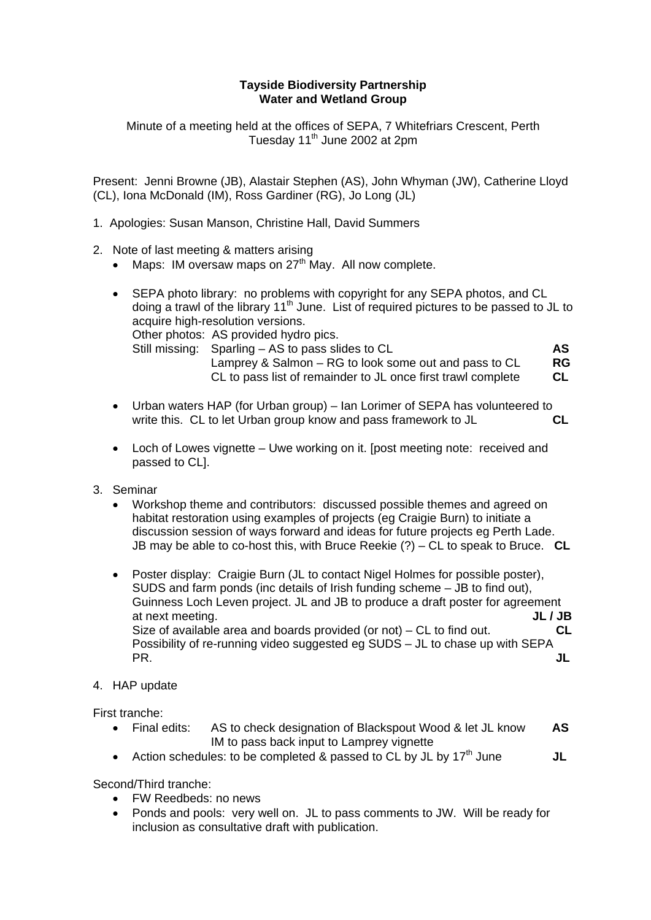## **Tayside Biodiversity Partnership Water and Wetland Group**

Minute of a meeting held at the offices of SEPA, 7 Whitefriars Crescent, Perth Tuesday 11<sup>th</sup> June 2002 at 2pm

Present: Jenni Browne (JB), Alastair Stephen (AS), John Whyman (JW), Catherine Lloyd (CL), Iona McDonald (IM), Ross Gardiner (RG), Jo Long (JL)

- 1. Apologies: Susan Manson, Christine Hall, David Summers
- 2. Note of last meeting & matters arising
	- Maps: IM oversaw maps on  $27<sup>th</sup>$  May. All now complete.
	- SEPA photo library: no problems with copyright for any SEPA photos, and CL doing a trawl of the library 11<sup>th</sup> June. List of required pictures to be passed to JL to acquire high-resolution versions. Other photos: AS provided hydro pics. Still missing: Sparling – AS to pass slides to CL **AS** Lamprey & Salmon – RG to look some out and pass to CL **RG**  CL to pass list of remainder to JL once first trawl complete **CL**
	- Urban waters HAP (for Urban group) Ian Lorimer of SEPA has volunteered to write this. CL to let Urban group know and pass framework to JL **CL**
	- Loch of Lowes vignette Uwe working on it. [post meeting note: received and passed to CL].
- 3. Seminar
	- Workshop theme and contributors: discussed possible themes and agreed on habitat restoration using examples of projects (eg Craigie Burn) to initiate a discussion session of ways forward and ideas for future projects eg Perth Lade. JB may be able to co-host this, with Bruce Reekie (?) – CL to speak to Bruce. **CL**
	- Poster display: Craigie Burn (JL to contact Nigel Holmes for possible poster), SUDS and farm ponds (inc details of Irish funding scheme – JB to find out), Guinness Loch Leven project. JL and JB to produce a draft poster for agreement at next meeting. **JL / JB** Size of available area and boards provided (or not) – CL to find out. **CL**  Possibility of re-running video suggested eg SUDS – JL to chase up with SEPA PR. **JL**
- 4. HAP update

First tranche:

- Final edits: AS to check designation of Blackspout Wood & let JL know **AS** IM to pass back input to Lamprey vignette
- Action schedules: to be completed & passed to CL by JL by 17<sup>th</sup> June **JL**

Second/Third tranche:

- FW Reedbeds: no news
- Ponds and pools: very well on. JL to pass comments to JW. Will be ready for inclusion as consultative draft with publication.